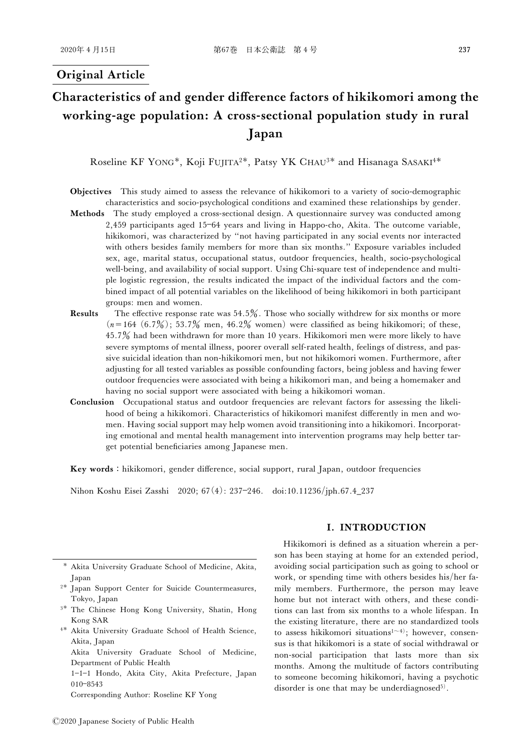# Original Article

# Characteristics of and gender difference factors of hikikomori among the working-age population: A cross-sectional population study in rural Japan

Roseline KF YONG\*, Koji FUJITA<sup>2\*</sup>, Patsy YK CHAU<sup>3\*</sup> and Hisanaga SASAKI<sup>4\*</sup>

- Objectives This study aimed to assess the relevance of hikikomori to a variety of socio-demographic characteristics and socio-psychological conditions and examined these relationships by gender.
- Methods The study employed a cross-sectional design. A questionnaire survey was conducted among 2,459 participants aged 1564 years and living in Happo-cho, Akita. The outcome variable, hikikomori, was characterized by "not having participated in any social events nor interacted with others besides family members for more than six months.'' Exposure variables included sex, age, marital status, occupational status, outdoor frequencies, health, socio-psychological well-being, and availability of social support. Using Chi-square test of independence and multiple logistic regression, the results indicated the impact of the individual factors and the combined impact of all potential variables on the likelihood of being hikikomori in both participant groups: men and women.
- **Results** The effective response rate was  $54.5\%$ . Those who socially withdrew for six months or more  $(n=164 (6.7\%)$ ; 53.7% men, 46.2% women) were classified as being hikikomori; of these, 45.7 had been withdrawn for more than 10 years. Hikikomori men were more likely to have severe symptoms of mental illness, poorer overall self-rated health, feelings of distress, and passive suicidal ideation than non-hikikomori men, but not hikikomori women. Furthermore, after adjusting for all tested variables as possible confounding factors, being jobless and having fewer outdoor frequencies were associated with being a hikikomori man, and being a homemaker and having no social support were associated with being a hikikomori woman.
- Conclusion Occupational status and outdoor frequencies are relevant factors for assessing the likelihood of being a hikikomori. Characteristics of hikikomori manifest differently in men and women. Having social support may help women avoid transitioning into a hikikomori. Incorporating emotional and mental health management into intervention programs may help better target potential beneficiaries among Japanese men.

Key words : hikikomori, gender difference, social support, rural Japan, outdoor frequencies

Nihon Koshu Eisei Zasshi 2020; 67(4): 237-246. doi:10.11236/jph.67.4\_237

- <sup>3\*</sup> The Chinese Hong Kong University, Shatin, Hong Kong SAR
- <sup>4</sup>Akita University Graduate School of Health Science, Akita, Japan

Akita University Graduate School of Medicine, Department of Public Health

1-1-1 Hondo, Akita City, Akita Prefecture, Japan 010-8543

Corresponding Author: Roseline KF Yong

#### I. INTRODUCTION

Hikikomori is defined as a situation wherein a person has been staying at home for an extended period, avoiding social participation such as going to school or work, or spending time with others besides his/her family members. Furthermore, the person may leave home but not interact with others, and these conditions can last from six months to a whole lifespan. In the existing literature, there are no standardized tools to assess hikikomori situations<sup>1 $\sim$ 4)</sub>; however, consen-</sup> sus is that hikikomori is a state of social withdrawal or non-social participation that lasts more than six months. Among the multitude of factors contributing to someone becoming hikikomori, having a psychotic disorder is one that may be underdiagnosed<sup>5)</sup>.

Akita University Graduate School of Medicine, Akita, Japan

<sup>&</sup>lt;sup>2\*</sup> Japan Support Center for Suicide Countermeasures, Tokyo, Japan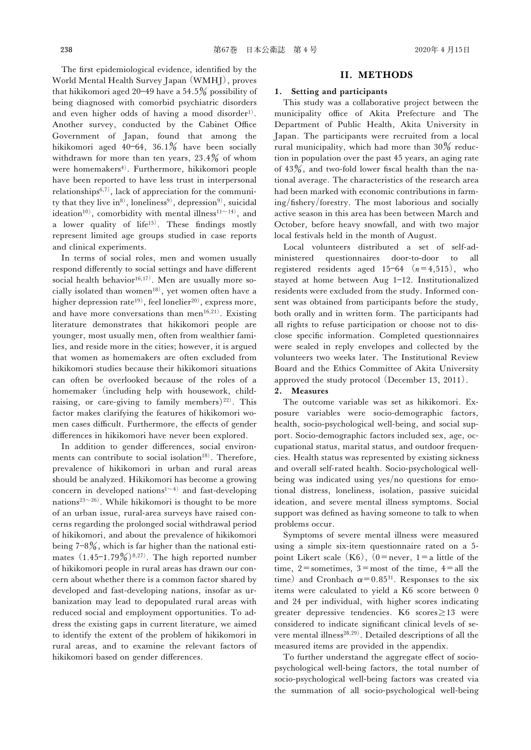The first epidemiological evidence, identified by the World Mental Health Survey Japan (WMHJ), proves that hikikomori aged 20–49 have a 54.5 $\%$  possibility of being diagnosed with comorbid psychiatric disorders and even higher odds of having a mood disorder<sup>1)</sup>. Another survey, conducted by the Cabinet Office Government of Japan, found that among the hikikomori aged 40–64, 36.1% have been socially withdrawn for more than ten years,  $23.4\%$  of whom were homemakers<sup>4)</sup>. Furthermore, hikikomori people have been reported to have less trust in interpersonal relationships<sup>6,7)</sup>, lack of appreciation for the community that they live in<sup>8)</sup>, loneliness<sup>9)</sup>, depression<sup>9)</sup>, suicidal ideation<sup>10)</sup>, comorbidity with mental illness<sup>11 $\sim$ 14)</sup>, and a lower quality of life<sup>15)</sup>. These findings mostly represent limited age groups studied in case reports and clinical experiments.

In terms of social roles, men and women usually respond differently to social settings and have different social health behavior $(16,17)$ . Men are usually more socially isolated than women<sup>18)</sup>, yet women often have a higher depression rate<sup>19)</sup>, feel lonelier<sup>20)</sup>, express more, and have more conversations than men<sup>16,21)</sup>. Existing literature demonstrates that hikikomori people are younger, most usually men, often from wealthier families, and reside more in the cities; however, it is argued that women as homemakers are often excluded from hikikomori studies because their hikikomori situations can often be overlooked because of the roles of a homemaker (including help with housework, childraising, or care-giving to family members)<sup>22)</sup>. This factor makes clarifying the features of hikikomori women cases difficult. Furthermore, the effects of gender differences in hikikomori have never been explored.

In addition to gender differences, social environments can contribute to social isolation<sup>18)</sup>. Therefore, prevalence of hikikomori in urban and rural areas should be analyzed. Hikikomori has become a growing concern in developed nations<sup>1 $\sim$ 4)</sup> and fast-developing nations<sup>23~26)</sup>. While hikikomori is thought to be more of an urban issue, rural-area surveys have raised concerns regarding the prolonged social withdrawal period of hikikomori, and about the prevalence of hikikomori being  $7-8\%$ , which is far higher than the national estimates  $(1.45-1.79\%)^{8,27}$ . The high reported number of hikikomori people in rural areas has drawn our concern about whether there is a common factor shared by developed and fast-developing nations, insofar as urbanization may lead to depopulated rural areas with reduced social and employment opportunities. To address the existing gaps in current literature, we aimed to identify the extent of the problem of hikikomori in rural areas, and to examine the relevant factors of hikikomori based on gender differences.

#### II. METHODS

#### 1. Setting and participants

This study was a collaborative project between the municipality office of Akita Prefecture and The Department of Public Health, Akita University in Japan. The participants were recruited from a local rural municipality, which had more than  $30\%$  reduction in population over the past 45 years, an aging rate of  $43\%$ , and two-fold lower fiscal health than the national average. The characteristics of the research area had been marked with economic contributions in farm- $\frac{1}{2}$ ing/fishery/forestry. The most laborious and socially active season in this area has been between March and October, before heavy snowfall, and with two major local festivals held in the month of August.

Local volunteers distributed a set of self-administered questionnaires door-to-door to all registered residents aged 15-64  $(n=4,515)$ , who stayed at home between Aug  $1-12$ . Institutionalized residents were excluded from the study. Informed consent was obtained from participants before the study, both orally and in written form. The participants had all rights to refuse participation or choose not to disclose specific information. Completed questionnaires were sealed in reply envelopes and collected by the volunteers two weeks later. The Institutional Review Board and the Ethics Committee of Akita University approved the study protocol (December 13, 2011).

#### 2. Measures

The outcome variable was set as hikikomori. Exposure variables were socio-demographic factors, health, socio-psychological well-being, and social support. Socio-demographic factors included sex, age, occupational status, marital status, and outdoor frequencies. Health status was represented by existing sickness and overall self-rated health. Socio-psychological wellbeing was indicated using yes/no questions for emotional distress, loneliness, isolation, passive suicidal ideation, and severe mental illness symptoms. Social support was defined as having someone to talk to when problems occur.

Symptoms of severe mental illness were measured using a simple six-item questionnaire rated on a 5 point Likert scale  $(K6)$ ,  $(0=$ never,  $1=$ a little of the time,  $2$ =sometimes,  $3$ =most of the time,  $4$ =all the time) and Cronbach  $\alpha$ =0.85<sup>31</sup>. Responses to the six items were calculated to yield a K6 score between 0 and 24 per individual, with higher scores indicating greater depressive tendencies. K6 scores $\geq$ 13 were considered to indicate significant clinical levels of severe mental illness<sup>28,29)</sup>. Detailed descriptions of all the measured items are provided in the appendix.

To further understand the aggregate effect of sociopsychological well-being factors, the total number of socio-psychological well-being factors was created via the summation of all socio-psychological well-being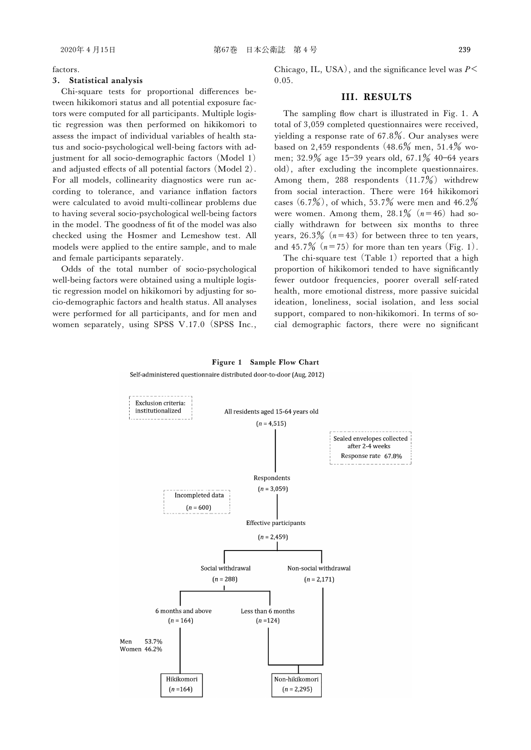factors.

#### 3. Statistical analysis

Chi-square tests for proportional differences between hikikomori status and all potential exposure factors were computed for all participants. Multiple logistic regression was then performed on hikikomori to assess the impact of individual variables of health status and socio-psychological well-being factors with adjustment for all socio-demographic factors (Model 1) and adjusted effects of all potential factors (Model 2). For all models, collinearity diagnostics were run according to tolerance, and variance inflation factors were calculated to avoid multi-collinear problems due to having several socio-psychological well-being factors in the model. The goodness of fit of the model was also checked using the Hosmer and Lemeshow test. All models were applied to the entire sample, and to male and female participants separately.

Odds of the total number of socio-psychological well-being factors were obtained using a multiple logistic regression model on hikikomori by adjusting for socio-demographic factors and health status. All analyses were performed for all participants, and for men and women separately, using SPSS V.17.0 (SPSS Inc., Chicago, IL, USA), and the significance level was  $P \leq$ 0.05.

## III. RESULTS

The sampling flow chart is illustrated in Fig. 1. A total of 3,059 completed questionnaires were received, yielding a response rate of  $67.8\%$ . Our analyses were based on 2,459 respondents  $(48.6\%$  men, 51.4% women;  $32.9\%$  age  $15-39$  years old,  $67.1\%$  40-64 years old), after excluding the incomplete questionnaires. Among them, 288 respondents  $(11.7\%)$  withdrew from social interaction. There were 164 hikikomori cases  $(6.7\%)$ , of which, 53.7% were men and 46.2% were women. Among them,  $28.1\%$   $(n=46)$  had socially withdrawn for between six months to three years,  $26.3\%$  ( $n=43$ ) for between three to ten years, and 45.7%  $(n=75)$  for more than ten years (Fig. 1).

The chi-square test (Table 1) reported that a high proportion of hikikomori tended to have significantly fewer outdoor frequencies, poorer overall self-rated health, more emotional distress, more passive suicidal ideation, loneliness, social isolation, and less social support, compared to non-hikikomori. In terms of social demographic factors, there were no significant

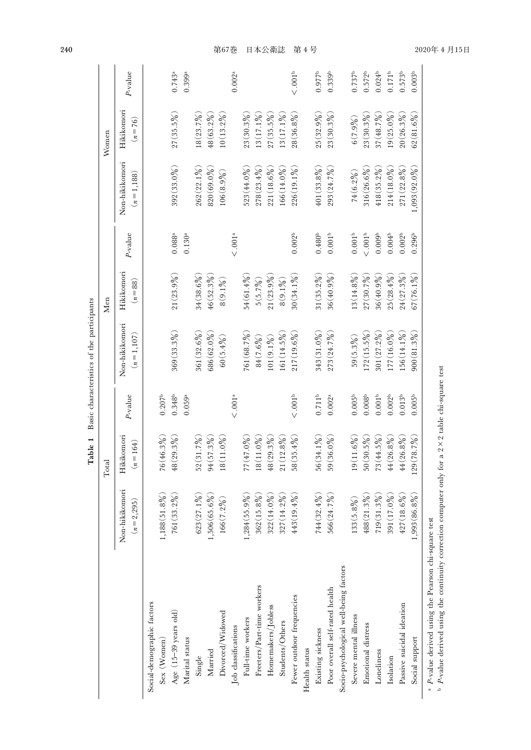|                                        |                                | Total                     |                    |                               | Men                      |                          |                                | Women                    |                    |
|----------------------------------------|--------------------------------|---------------------------|--------------------|-------------------------------|--------------------------|--------------------------|--------------------------------|--------------------------|--------------------|
|                                        | Non-hikikomori<br>$(n=2, 295)$ | Hikikomori<br>$(n = 164)$ | $P$ -value         | Non-hikikomori<br>$(n=1,107)$ | Hikikomori<br>$(n = 88)$ | P-value                  | Non-hikikomori<br>$(n=1, 188)$ | Hikikomori<br>$(n = 76)$ | $P$ -value         |
| Social-demographic factors             |                                |                           |                    |                               |                          |                          |                                |                          |                    |
| Sex (Women)                            | $1,188(51.8\%)$                | 76 (46.3%)                | 0.207 <sup>b</sup> |                               |                          |                          |                                |                          |                    |
| Age $(15-39$ years old)                | $761(33.2\%)$                  | 48(29.3%                  | $0.348^{b}$        | 369(33.3%                     | 21(23.9%)                | $0.088^\mathrm{a}$       | $392(33.0\%)$                  | $27(35.5\%)$             | $0.743^{\rm a}$    |
| Marital status                         |                                |                           | 0.059a             |                               |                          | $0.130^{\rm a}$          |                                |                          | $0.399$ ª          |
| Single                                 | $623(27.1\%)$                  | 52(31.7%)                 |                    | 361 (32.6%)                   | $34(38.6\%)$             |                          | $262(22.1\%)$                  | $18(23.7\%)$             |                    |
| Married                                | $1,506(65.6\%)$                | $94(57.3\%)$              |                    | 686 (62.0%)                   | 46(52.3%                 |                          | $820(69.0\%)$                  | $48(63.2\%)$             |                    |
| Divorced/Widowed                       | $166(7.2\%)$                   | $18(11.0\%)$              |                    | 60(5.4%)                      | $8(9.1\%)$               |                          | 106(8.9%)                      | $10(13.2\%)$             |                    |
| Job classifications                    |                                |                           | $<.001a$           |                               |                          | $\leq$ .001 <sup>a</sup> |                                |                          | $0.002^{a}$        |
| Full-time workers                      | $1,284(55.9\%)$                | 77(47.0%                  |                    | 761 (68.7%)                   | 54(61.4%)                |                          | $523(44.0\%)$                  | 23(30.3%                 |                    |
| Freeters/Part-time workers             | $362(15.8\%)$                  | $18(11.0\%)$              |                    | 84 (7.6%)                     | 5(5.7%)                  |                          | $278(23.4\%)$                  | $13(17.1\%)$             |                    |
| Homemakers/Jobless                     | $322(14.0\%)$                  | 48(29.3%                  |                    | $101(9.1\%)$                  | $21(23.9\%)$             |                          | $221(18.6\%)$                  | $27(35.5\%)$             |                    |
| Students/Others                        | $327(14.2\%)$                  | $21(12.8\%)$              |                    | $161(14.5\%)$                 | $8(9.1\%)$               |                          | $166(14.0\%)$                  | $13(17.1\%)$             |                    |
| Fewer outdoor frequencies              | 443(19.4%)                     | 58(35.4%)                 | $<.001b$           | $217(19.6\%)$                 | 30(34.1%                 | 0.002 <sup>b</sup>       | $226(19.1\%)$                  | $28(36.8\%)$             | $<.001b$           |
| Health status                          |                                |                           |                    |                               |                          |                          |                                |                          |                    |
| Existing sickness                      | 744(32.4%)                     | $56(34.1\%)$              | $0.711^{\rm b}$    | $343(31.0\%)$                 | $31 (35.2\%)$            | 0.480 <sup>b</sup>       | $401(33.8\%)$                  | 25(32.9%)                | $0.977^{b}$        |
| Poor overall self-rated health         | 566 (24.7%)                    | $59(36.0\%)$              | $0.002^a$          | $273(24.7\%)$                 | 36(40.9%                 | 0.001 <sup>b</sup>       | 293(24.7%)                     | 23(30.3%                 | 0.339 <sup>b</sup> |
| Socio-psychological well-being factors |                                |                           |                    |                               |                          |                          |                                |                          |                    |
| Severe mental illness                  | $133(5.8\%)$                   | $19(11.6\%)$              | $0.005^{\rm b}$    | 59(5.3%)                      | 13(14.8%)                | 0.001 <sup>b</sup>       | 74(6.2%)                       | 6(7.9%)                  | $0.737^{\rm b}$    |
| Emotional distress                     | $488(21.3\%)$                  | 50(30.5%                  | 0.008 <sup>b</sup> | $172(15.5\%)$                 | 27(30.7%)                | $<.001b$                 | 316(26.6%)                     | $23(30.3\%)$             | $0.572^{b}$        |
| Loneliness                             | $719(31.3\%)$                  | $73(44.5\%)$              | $0.001^{\rm b}$    | $301(27.2\%)$                 | 36(40.9%                 | 0.009 <sup>b</sup>       | $418(35.2\%)$                  | 37(48.7%                 | $0.024^{b}$        |
| Isolation                              | $391(17.0\%)$                  | 44(26.8%                  | 0.002 <sup>b</sup> | 177 (16.0%)                   | 25(28.4%)                | 0.004 <sup>b</sup>       | $214(18.0\%)$                  | $19(25.0\%)$             | $0.171^{b}$        |
| Passive suicidal ideation              | $427(18.6\%)$                  | 44(26.8%                  | 0.013 <sup>b</sup> | $156(14.1\%)$                 | $24(27.3\%)$             | 0.002 <sup>b</sup>       | $271(22.8\%)$                  | 20(26.3%                 | 0.573 <sup>b</sup> |
| Social support                         | $1,993(86.8\%)$                | 129(78.7%                 | 0.005 <sup>b</sup> | $900(81.3\%)$                 | $67(76.1\%)$             | 0.296 <sup>b</sup>       | 1,093(92.0%                    | 62(81.6%)                | 0.003 <sup>b</sup> |

 $\frac{1}{2}$  -  $\frac{1}{2}$  -value derived using the rearson cur-square test<br>b  $P$ -value derived using the continuity correction computer only for a 2 × 2 table chi-square test **P-value derived using the continuity correction computer only for a 2 × 2 table chi-square test**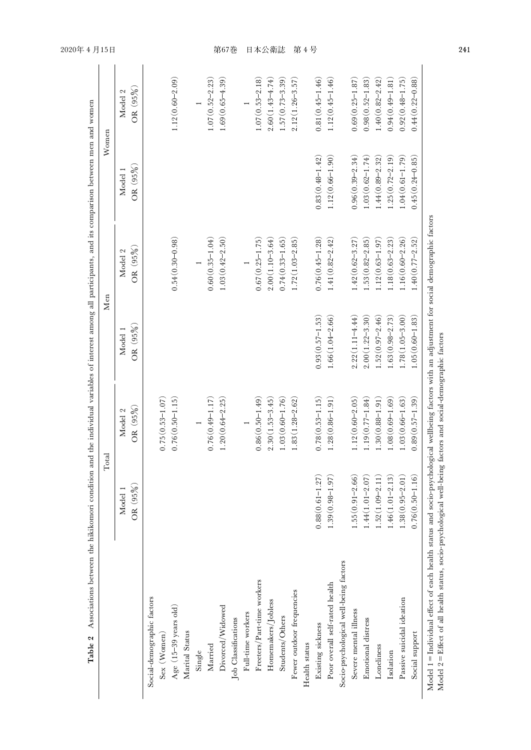|                                        |                     | Total                  |                        | Men                 |                        | Women                  |
|----------------------------------------|---------------------|------------------------|------------------------|---------------------|------------------------|------------------------|
|                                        | OR (95%)<br>Model 1 | $OR (95\%)$<br>Model 2 | $OR (95\%)$<br>Model 1 | OR (95%)<br>Model 2 | $OR (95\%)$<br>Model 1 | $OR (95\%)$<br>Model 2 |
| Social-demographic factors             |                     |                        |                        |                     |                        |                        |
| Sex (Women)                            |                     | $0.75(0.53 - 1.07)$    |                        |                     |                        |                        |
| Age (15-39 years old)                  |                     | $0.76(0.50 - 1.15)$    |                        | $0.54(0.30 - 0.98)$ |                        | $1.12(0.60 - 2.09)$    |
| Marital Status                         |                     |                        |                        |                     |                        |                        |
| Single                                 |                     |                        |                        |                     |                        |                        |
| Married                                |                     | $0.76(0.49 - 1.17)$    |                        | $0.60(0.35 - 1.04)$ |                        | $1.07(0.52 - 2.23)$    |
| Divorced/Widowed                       |                     | $1.20(0.64 - 2.25$     |                        | $1.03(0.42 - 2.50)$ |                        | $1.69(0.65 - 4.39)$    |
| Job Classifications                    |                     |                        |                        |                     |                        |                        |
| Full-time workers                      |                     |                        |                        |                     |                        |                        |
| Freeters/Part-time workers             |                     | $0.86(0.50 - 1.49)$    |                        | $0.67(0.25 - 1.75)$ |                        | $1.07(0.53 - 2.18)$    |
| Homemakers/Jobless                     |                     | $2.30(1.53 - 3.45)$    |                        | $2.00(1.10 - 3.64)$ |                        | $2.60(1.43 - 4.74)$    |
| Students/Others                        |                     | $1.03(0.60 - 1.76)$    |                        | $0.74(0.33 - 1.65)$ |                        | $1.57(0.73 - 3.39)$    |
| Fewer outdoor frequencies              |                     | $1.83(1.28 - 2.62)$    |                        | $1.72(1.03 - 2.85)$ |                        | $2.12(1.26 - 3.57)$    |
| Health status                          |                     |                        |                        |                     |                        |                        |
| Existing sickness                      | $0.88(0.61 - 1.27)$ | $0.78(0.53 - 1.15)$    | $0.93(0.57 - 1.53)$    | $0.76(0.45 - 1.28)$ | $0.83(0.48 - 1.42)$    | $0.81(0.45 - 1.46)$    |
| Poor overall self-rated health         | $1.39(0.98 - 1.97)$ | $1.28(0.86 - 1.91)$    | $1.66(1.04-2.66)$      | $1.41(0.82 - 2.42)$ | $1.12(0.66 - 1.90)$    | $1.12(0.45 - 1.46)$    |
| Socio-psychological well-being factors |                     |                        |                        |                     |                        |                        |
| Severe mental illness                  | $1.55(0.91 - 2.66)$ | $1.12(0.60 - 2.05)$    | $2.22(1.11 - 4.44)$    | $1.42(0.62 - 3.27)$ | $0.96(0.39 - 2.34)$    | $0.69(0.25 - 1.87)$    |
| Emotional distress                     | $1.44(1.01 - 2.07)$ | $1.19(0.77 - 1.84)$    | $2.00(1.22 - 3.30)$    | $1.53(0.82 - 2.85)$ | $1.03(0.62 - 1.74)$    | $0.98(0.52 - 1.83)$    |
| Loneliness                             | $-.52(1.09 - 2.11)$ | $1.30(0.88 - 1.91)$    | $1.52(0.97 - 2.46)$    | $1.12(0.63 - 1.97)$ | $1.44(0.89 - 2.32)$    | $1.40(0.82 - 2.42)$    |
| Isolation                              | $1.46(1.01 - 2.13)$ | $1.08(0.69 - 1.69)$    | $1.63(0.98 - 2.73)$    | $1.18(0.63 - 2.23)$ | $1.25(0.72-2.19)$      | $0.94(0.49 - 1.81)$    |
| Passive suicidal ideation              | $1.38(0.95 - 2.01)$ | $1.03(0.66 - 1.63)$    | $1.78(1.05 - 3.00)$    | $1.16(0.60 - 2.26)$ | $1.04(0.61 - 1.79)$    | $0.92(0.48 - 1.75)$    |
| Social support                         | $0.76(0.50 - 1.16)$ | $0.89(0.57 - 1.39)$    | $1.05(0.60 - 1.83)$    | $1.40(0.77 - 2.52)$ | $0.45(0.24 - 0.85)$    | $0.44(0.22 - 0.88)$    |

2020 年 4 月15 日

241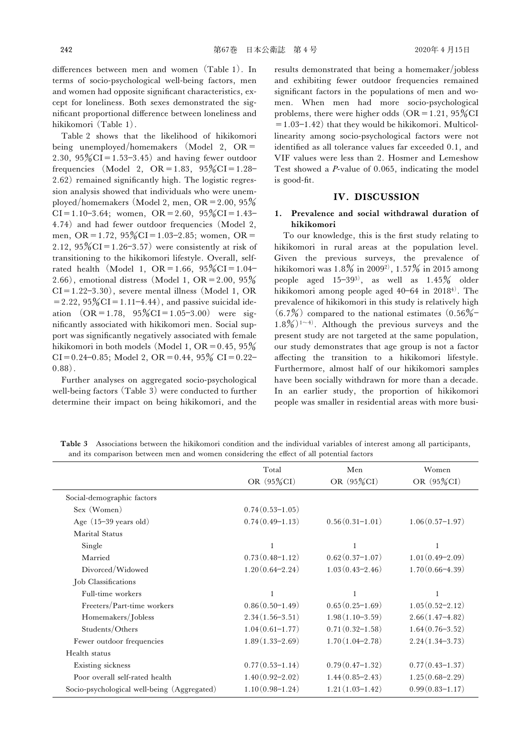differences between men and women (Table 1). In terms of socio-psychological well-being factors, men and women had opposite significant characteristics, except for loneliness. Both sexes demonstrated the significant proportional difference between loneliness and hikikomori (Table 1).

Table 2 shows that the likelihood of hikikomori being unemployed/homemakers (Model 2, OR= 2.30,  $95\%$ CI=1.53-3.45) and having fewer outdoor frequencies (Model 2,  $OR = 1.83$ ,  $95\% CI = 1.28 -$ 2.62) remained significantly high. The logistic regression analysis showed that individuals who were unemployed/homemakers (Model 2, men,  $OR = 2.00, 95\%$  $CI = 1.10 - 3.64$ ; women,  $OR = 2.60$ ,  $95\% CI = 1.43 -$ 4.74) and had fewer outdoor frequencies (Model 2, men, OR=1.72,  $95\%$ CI=1.03-2.85; women, OR= 2.12,  $95\%$ CI=1.26-3.57) were consistently at risk of transitioning to the hikikomori lifestyle. Overall, selfrated health (Model 1, OR = 1.66,  $95\%$ CI = 1.04-2.66), emotional distress (Model 1, OR = 2.00,  $95\%$  $CI=1.22-3.30$ , severe mental illness (Model 1, OR  $= 2.22, 95\% \text{CI} = 1.11 - 4.44$ , and passive suicidal ideation  $(OR = 1.78, 95\% CI = 1.05-3.00)$  were significantly associated with hikikomori men. Social support was significantly negatively associated with female hikikomori in both models (Model 1, OR =  $0.45, 95\%$  $CI = 0.24 - 0.85$ ; Model 2,  $OR = 0.44$ ,  $95\%$   $CI = 0.22 -$ 0.88).

Further analyses on aggregated socio-psychological well-being factors (Table 3) were conducted to further determine their impact on being hikikomori, and the results demonstrated that being a homemaker/jobless and exhibiting fewer outdoor frequencies remained significant factors in the populations of men and women. When men had more socio-psychological problems, there were higher odds  $(OR=1.21, 95\%CI$  $=1.03-1.42$ ) that they would be hikikomori. Multicollinearity among socio-psychological factors were not identified as all tolerance values far exceeded 0.1, and VIF values were less than 2. Hosmer and Lemeshow Test showed a P-value of 0.065, indicating the model is good-fit.

#### IV. DISCUSSION

## 1. Prevalence and social withdrawal duration of hikikomori

To our knowledge, this is the first study relating to hikikomori in rural areas at the population level. Given the previous surveys, the prevalence of hikikomori was  $1.8\%$  in  $2009^2$ ,  $1.57\%$  in 2015 among people aged  $15-39^{3}$ , as well as  $1.45\%$  older hikikomori among people aged  $40-64$  in  $2018<sup>4</sup>$ . The prevalence of hikikomori in this study is relatively high  $(6.7%)$  compared to the national estimates  $(0.56% 1.8\%$ <sup>1~4)</sup>. Although the previous surveys and the present study are not targeted at the same population, our study demonstrates that age group is not a factor affecting the transition to a hikikomori lifestyle. Furthermore, almost half of our hikikomori samples have been socially withdrawn for more than a decade. In an earlier study, the proportion of hikikomori people was smaller in residential areas with more busi-

Table 3 Associations between the hikikomori condition and the individual variables of interest among all participants, and its comparison between men and women considering the effect of all potential factors

|                                             | Total               | Men                 | Women               |
|---------------------------------------------|---------------------|---------------------|---------------------|
|                                             | OR (95%CI)          | OR (95%CI)          | OR (95%CI)          |
| Social-demographic factors                  |                     |                     |                     |
| Sex (Women)                                 | $0.74(0.53-1.05)$   |                     |                     |
| Age $(15-39 \text{ years old})$             | $0.74(0.49 - 1.13)$ | $0.56(0.31-1.01)$   | $1.06(0.57-1.97)$   |
| <b>Marital Status</b>                       |                     |                     |                     |
| Single                                      | $\mathbf{1}$        |                     |                     |
| Married                                     | $0.73(0.48 - 1.12)$ | $0.62(0.37-1.07)$   | $1.01(0.49-2.09)$   |
| Divorced/Widowed                            | $1.20(0.64-2.24)$   | $1.03(0.43-2.46)$   | $1.70(0.66-4.39)$   |
| Job Classifications                         |                     |                     |                     |
| Full-time workers                           |                     |                     |                     |
| Freeters/Part-time workers                  | $0.86(0.50-1.49)$   | $0.65(0.25-1.69)$   | $1.05(0.52 - 2.12)$ |
| Homemakers/Jobless                          | $2.34(1.56 - 3.51)$ | $1.98(1.10-3.59)$   | $2.66(1.47 - 4.82)$ |
| Students/Others                             | $1.04(0.61-1.77)$   | $0.71(0.32 - 1.58)$ | $1.64(0.76 - 3.52)$ |
| Fewer outdoor frequencies                   | $1.89(1.33 - 2.69)$ | $1.70(1.04-2.78)$   | $2.24(1.34-3.73)$   |
| Health status                               |                     |                     |                     |
| Existing sickness                           | $0.77(0.53-1.14)$   | $0.79(0.47-1.32)$   | $0.77(0.43 - 1.37)$ |
| Poor overall self-rated health              | $1.40(0.92 - 2.02)$ | $1.44(0.85-2.43)$   | $1.25(0.68-2.29)$   |
| Socio-psychological well-being (Aggregated) | $1.10(0.98 - 1.24)$ | $1.21(1.03-1.42)$   | $0.99(0.83 - 1.17)$ |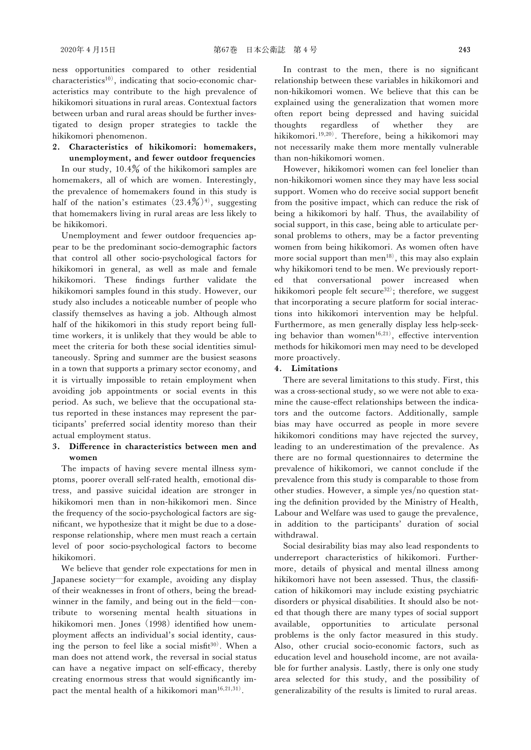ness opportunities compared to other residential characteristics<sup>10)</sup>, indicating that socio-economic characteristics may contribute to the high prevalence of hikikomori situations in rural areas. Contextual factors between urban and rural areas should be further investigated to design proper strategies to tackle the hikikomori phenomenon.

2. Characteristics of hikikomori: homemakers, unemployment, and fewer outdoor frequencies

In our study,  $10.4\%$  of the hikikomori samples are homemakers, all of which are women. Interestingly, the prevalence of homemakers found in this study is half of the nation's estimates  $(23.4\%)$ <sup>4)</sup>, suggesting that homemakers living in rural areas are less likely to be hikikomori.

Unemployment and fewer outdoor frequencies appear to be the predominant socio-demographic factors that control all other socio-psychological factors for hikikomori in general, as well as male and female hikikomori. These findings further validate the hikikomori samples found in this study. However, our study also includes a noticeable number of people who classify themselves as having a job. Although almost half of the hikikomori in this study report being fulltime workers, it is unlikely that they would be able to meet the criteria for both these social identities simultaneously. Spring and summer are the busiest seasons in a town that supports a primary sector economy, and it is virtually impossible to retain employment when avoiding job appointments or social events in this period. As such, we believe that the occupational status reported in these instances may represent the participants' preferred social identity moreso than their actual employment status.

## 3. Difference in characteristics between men and women

The impacts of having severe mental illness symptoms, poorer overall self-rated health, emotional distress, and passive suicidal ideation are stronger in hikikomori men than in non-hikikomori men. Since the frequency of the socio-psychological factors are significant, we hypothesize that it might be due to a doseresponse relationship, where men must reach a certain level of poor socio-psychological factors to become hikikomori.

We believe that gender role expectations for men in Japanese society―for example, avoiding any display of their weaknesses in front of others, being the breadwinner in the family, and being out in the field—contribute to worsening mental health situations in hikikomori men. Jones (1998) identified how unemployment affects an individual's social identity, causing the person to feel like a social misfit $30$ ). When a man does not attend work, the reversal in social status can have a negative impact on self-efficacy, thereby creating enormous stress that would significantly impact the mental health of a hikikomori man<sup>16,21,31)</sup>.

In contrast to the men, there is no significant relationship between these variables in hikikomori and non-hikikomori women. We believe that this can be explained using the generalization that women more often report being depressed and having suicidal thoughts regardless of whether they are hikikomori.19,20). Therefore, being a hikikomori may not necessarily make them more mentally vulnerable than non-hikikomori women.

However, hikikomori women can feel lonelier than non-hikikomori women since they may have less social support. Women who do receive social support benefit from the positive impact, which can reduce the risk of being a hikikomori by half. Thus, the availability of social support, in this case, being able to articulate personal problems to others, may be a factor preventing women from being hikikomori. As women often have more social support than  $men^{18}$ , this may also explain why hikikomori tend to be men. We previously reported that conversational power increased when hikikomori people felt secure<sup>32)</sup>; therefore, we suggest that incorporating a secure platform for social interactions into hikikomori intervention may be helpful. Furthermore, as men generally display less help-seeking behavior than women<sup>16,21)</sup>, effective intervention methods for hikikomori men may need to be developed more proactively.

#### 4. Limitations

There are several limitations to this study. First, this was a cross-sectional study, so we were not able to examine the cause-effect relationships between the indicators and the outcome factors. Additionally, sample bias may have occurred as people in more severe hikikomori conditions may have rejected the survey, leading to an underestimation of the prevalence. As there are no formal questionnaires to determine the prevalence of hikikomori, we cannot conclude if the prevalence from this study is comparable to those from other studies. However, a simple yes/no question stating the definition provided by the Ministry of Health, Labour and Welfare was used to gauge the prevalence, in addition to the participants' duration of social withdrawal.

Social desirability bias may also lead respondents to underreport characteristics of hikikomori. Furthermore, details of physical and mental illness among hikikomori have not been assessed. Thus, the classification of hikikomori may include existing psychiatric disorders or physical disabilities. It should also be noted that though there are many types of social support available, opportunities to articulate personal problems is the only factor measured in this study. Also, other crucial socio-economic factors, such as education level and household income, are not available for further analysis. Lastly, there is only one study area selected for this study, and the possibility of generalizability of the results is limited to rural areas.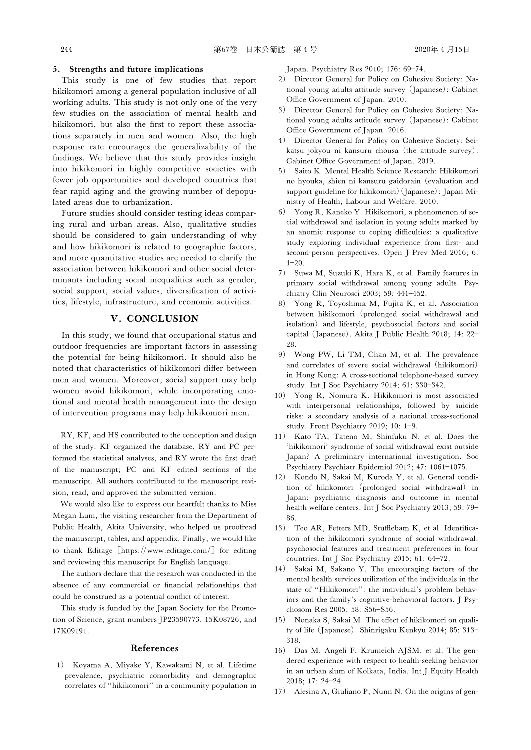#### 5. Strengths and future implications

This study is one of few studies that report hikikomori among a general population inclusive of all working adults. This study is not only one of the very few studies on the association of mental health and hikikomori, but also the first to report these associations separately in men and women. Also, the high response rate encourages the generalizability of the ˆndings. We believe that this study provides insight into hikikomori in highly competitive societies with fewer job opportunities and developed countries that fear rapid aging and the growing number of depopulated areas due to urbanization.

Future studies should consider testing ideas comparing rural and urban areas. Also, qualitative studies should be considered to gain understanding of why and how hikikomori is related to geographic factors, and more quantitative studies are needed to clarify the association between hikikomori and other social determinants including social inequalities such as gender, social support, social values, diversification of activities, lifestyle, infrastructure, and economic activities.

## V. CONCLUSION

In this study, we found that occupational status and outdoor frequencies are important factors in assessing the potential for being hikikomori. It should also be noted that characteristics of hikikomori differ between men and women. Moreover, social support may help women avoid hikikomori, while incorporating emotional and mental health management into the design of intervention programs may help hikikomori men.

RY, KF, and HS contributed to the conception and design of the study. KF organized the database, RY and PC performed the statistical analyses, and RY wrote the first draft of the manuscript; PC and KF edited sections of the manuscript. All authors contributed to the manuscript revision, read, and approved the submitted version.

We would also like to express our heartfelt thanks to Miss Megan Lum, the visiting researcher from the Department of Public Health, Akita University, who helped us proofread the manuscript, tables, and appendix. Finally, we would like to thank Editage [https://www.editage.com/] for editing and reviewing this manuscript for English language.

The authors declare that the research was conducted in the absence of any commercial or financial relationships that could be construed as a potential conflict of interest.

This study is funded by the Japan Society for the Promotion of Science, grant numbers JP23590773, 15K08726, and 17K09191.

#### References

1) Koyama A, Miyake Y, Kawakami N, et al. Lifetime prevalence, psychiatric comorbidity and demographic correlates of "hikikomori" in a community population in Japan. Psychiatry Res 2010; 176: 69-74.

- 2) Director General for Policy on Cohesive Society: National young adults attitude survey (Japanese): Cabinet Office Government of Japan. 2010.
- 3) Director General for Policy on Cohesive Society: National young adults attitude survey (Japanese): Cabinet Office Government of Japan. 2016.
- 4) Director General for Policy on Cohesive Society: Seikatsu jokyou ni kansuru chousa (the attitude survey): Cabinet Office Government of Japan. 2019.
- 5) Saito K. Mental Health Science Research: Hikikomori no hyouka, shien ni kansuru gaidorain (evaluation and support guideline for hikikomori)(Japanese): Japan Ministry of Health, Labour and Welfare. 2010.
- 6) Yong R, Kaneko Y. Hikikomori, a phenomenon of social withdrawal and isolation in young adults marked by an anomic response to coping difficulties: a qualitative study exploring individual experience from first- and second-person perspectives. Open J Prev Med 2016; 6:  $1 - 20.$
- 7) Suwa M, Suzuki K, Hara K, et al. Family features in primary social withdrawal among young adults. Psychiatry Clin Neurosci 2003; 59: 441-452.
- 8) Yong R, Toyoshima M, Fujita K, et al. Association between hikikomori (prolonged social withdrawal and isolation) and lifestyle, psychosocial factors and social capital (Japanese). Akita J Public Health 2018; 14: 22 28.
- 9) Wong PW, Li TM, Chan M, et al. The prevalence and correlates of severe social withdrawal (hikikomori) in Hong Kong: A cross-sectional telephone-based survey study. Int J Soc Psychiatry 2014; 61: 330-342.
- 10) Yong R, Nomura K. Hikikomori is most associated with interpersonal relationships, followed by suicide risks: a secondary analysis of a national cross-sectional study. Front Psychiatry 2019; 10: 1-9.
- 11) Kato TA, Tateno M, Shinfuku N, et al. Does the 'hikikomori' syndrome of social withdrawal exist outside Japan? A preliminary international investigation. Soc Psychiatry Psychiatr Epidemiol 2012; 47: 1061-1075.
- 12) Kondo N, Sakai M, Kuroda Y, et al. General condition of hikikomori (prolonged social withdrawal) in Japan: psychiatric diagnosis and outcome in mental health welfare centers. Int J Soc Psychiatry 2013; 59: 79 86.
- 13) Teo AR, Fetters MD, Stufflebam K, et al. Identification of the hikikomori syndrome of social withdrawal: psychosocial features and treatment preferences in four countries. Int J Soc Psychiatry 2015; 61: 64-72.
- 14) Sakai M, Sakano Y. The encouraging factors of the mental health services utilization of the individuals in the state of "Hikikomori": the individual's problem behaviors and the family's cognitive-behavioral factors. J Psychosom Res 2005: 58: S56-S56.
- 15) Nonaka S, Sakai M. The effect of hikikomori on quality of life (Japanese). Shinrigaku Kenkyu 2014; 85: 313 318.
- 16) Das M, Angeli F, Krumeich AJSM, et al. The gendered experience with respect to health-seeking behavior in an urban slum of Kolkata, India. Int J Equity Health 2018; 17: 24-24.
- 17) Alesina A, Giuliano P, Nunn N. On the origins of gen-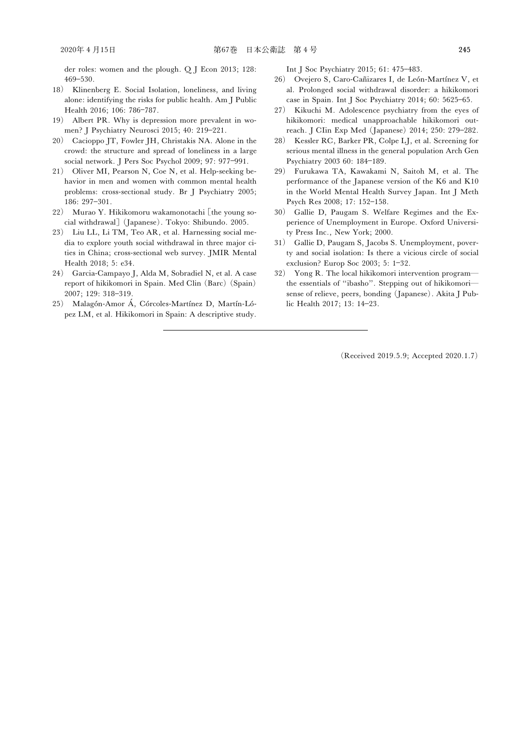der roles: women and the plough. Q J Econ 2013; 128: 469530.

- 18) Klinenberg E. Social Isolation, loneliness, and living alone: identifying the risks for public health. Am J Public Health 2016; 106: 786-787.
- 19) Albert PR. Why is depression more prevalent in women? J Psychiatry Neurosci 2015; 40: 219-221.
- 20) Cacioppo JT, Fowler JH, Christakis NA. Alone in the crowd: the structure and spread of loneliness in a large social network. J Pers Soc Psychol 2009; 97: 977-991.
- 21) Oliver MI, Pearson N, Coe N, et al. Help-seeking behavior in men and women with common mental health problems: cross-sectional study. Br J Psychiatry 2005; 186: 297-301.
- 22) Murao Y. Hikikomoru wakamonotachi [the young social withdrawal] (Japanese). Tokyo: Shibundo. 2005.
- 23) Liu LL, Li TM, Teo AR, et al. Harnessing social media to explore youth social withdrawal in three major cities in China; cross-sectional web survey. JMIR Mental Health 2018; 5: e34.
- 24) Garcia-Campayo J, Alda M, Sobradiel N, et al. A case report of hikikomori in Spain. Med Clin (Barc) (Spain) 2007; 129: 318-319.
- 25) Malagón-Amor Á, Córcoles-Martínez D, Martín-López LM, et al. Hikikomori in Spain: A descriptive study.

Int J Soc Psychiatry 2015; 61: 475-483.

- 26) Ovejero S, Caro-Cañizares I, de León-Martínez V, et al. Prolonged social withdrawal disorder: a hikikomori case in Spain. Int J Soc Psychiatry 2014;  $60:5625-65$ .
- 27) Kikuchi M. Adolescence psychiatry from the eyes of hikikomori: medical unapproachable hikikomori outreach. J CIin Exp Med (Japanese) 2014; 250: 279-282.
- 28) Kessler RC, Barker PR, Colpe LJ, et al. Screening for serious mental illness in the general population Arch Gen Psychiatry 2003 60: 184-189.
- 29) Furukawa TA, Kawakami N, Saitoh M, et al. The performance of the Japanese version of the K6 and K10 in the World Mental Health Survey Japan. Int J Meth Psych Res 2008; 17: 152-158.
- 30) Gallie D, Paugam S. Welfare Regimes and the Experience of Unemployment in Europe. Oxford University Press Inc., New York; 2000.
- 31) Gallie D, Paugam S, Jacobs S. Unemployment, poverty and social isolation: Is there a vicious circle of social exclusion? Europ Soc 2003; 5: 1-32.
- 32) Yong R. The local hikikomori intervention program― the essentials of "ibasho". Stepping out of hikikomorisense of relieve, peers, bonding (Japanese). Akita J Public Health 2017; 13: 14-23.

(Received 2019.5.9; Accepted 2020.1.7)